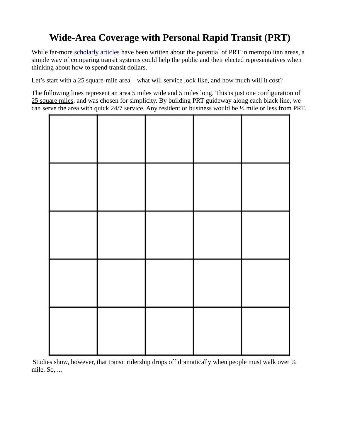## **Wide-Area Coverage with Personal Rapid Transit (PRT)**

While far-more [scholarly articles](http://www.advancedtransit.org/library/papers/) have been written about the potential of PRT in metropolitan areas, a simple way of comparing transit systems could help the public and their elected representatives when thinking about how to spend transit dollars.

Let's start with a 25 square-mile area – what will service look like, and how much will it cost?

The following lines represent an area 5 miles wide and 5 miles long. This is just one configuration of 25 square miles, and was chosen for simplicity. By building PRT guideway along each black line, we can serve the area with quick 24/7 service. Any resident or business would be ½ mile or less from PRT.



Studies show, however, that transit ridership drops off dramatically when people must walk over 1/4 mile. So, ...